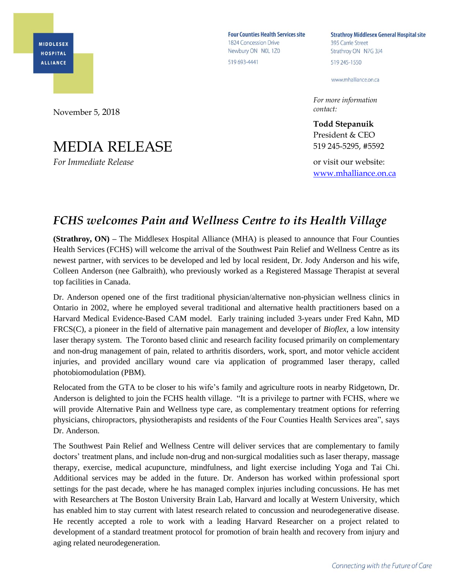**MIDDLESEX HOSPITAL ALLIANCE** 

**Four Counties Health Services site** 1824 Concession Drive Newbury ON NOL 1Z0 519 693-4441

**Strathroy Middlesex General Hospital site** 395 Carrie Street Strathroy ON N7G 3J4 519 245-1550

www.mhalliance.on.ca

*For more information contact:*

**Todd Stepanuik** President & CEO 519 245-5295, #5592

or visit our website: [www.mhalliance.on.ca](http://www.mhalliance.on.ca/)

## *FCHS welcomes Pain and Wellness Centre to its Health Village*

**(Strathroy, ON) –** The Middlesex Hospital Alliance (MHA) is pleased to announce that Four Counties Health Services (FCHS) will welcome the arrival of the Southwest Pain Relief and Wellness Centre as its newest partner, with services to be developed and led by local resident, Dr. Jody Anderson and his wife, Colleen Anderson (nee Galbraith), who previously worked as a Registered Massage Therapist at several top facilities in Canada.

Dr. Anderson opened one of the first traditional physician/alternative non-physician wellness clinics in Ontario in 2002, where he employed several traditional and alternative health practitioners based on a Harvard Medical Evidence-Based CAM model. Early training included 3-years under Fred Kahn, MD FRCS(C), a pioneer in the field of alternative pain management and developer of *Bioflex*, a low intensity laser therapy system. The Toronto based clinic and research facility focused primarily on complementary and non-drug management of pain, related to arthritis disorders, work, sport, and motor vehicle accident injuries, and provided ancillary wound care via application of programmed laser therapy, called photobiomodulation (PBM).

Relocated from the GTA to be closer to his wife's family and agriculture roots in nearby Ridgetown, Dr. Anderson is delighted to join the FCHS health village. "It is a privilege to partner with FCHS, where we will provide Alternative Pain and Wellness type care, as complementary treatment options for referring physicians, chiropractors, physiotherapists and residents of the Four Counties Health Services area", says Dr. Anderson.

The Southwest Pain Relief and Wellness Centre will deliver services that are complementary to family doctors' treatment plans, and include non-drug and non-surgical modalities such as laser therapy, massage therapy, exercise, medical acupuncture, mindfulness, and light exercise including Yoga and Tai Chi. Additional services may be added in the future. Dr. Anderson has worked within professional sport settings for the past decade, where he has managed complex injuries including concussions. He has met with Researchers at The Boston University Brain Lab, Harvard and locally at Western University, which has enabled him to stay current with latest research related to concussion and neurodegenerative disease. He recently accepted a role to work with a leading Harvard Researcher on a project related to development of a standard treatment protocol for promotion of brain health and recovery from injury and aging related neurodegeneration.

November 5, 2018

## MEDIA RELEASE

*For Immediate Release*